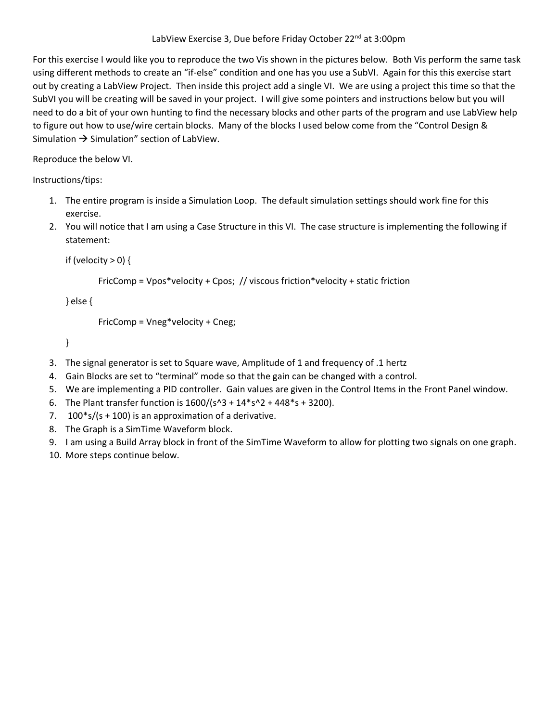## LabView Exercise 3, Due before Friday October 22<sup>nd</sup> at 3:00pm

For this exercise I would like you to reproduce the two Vis shown in the pictures below. Both Vis perform the same task using different methods to create an "if-else" condition and one has you use a SubVI. Again for this this exercise start out by creating a LabView Project. Then inside this project add a single VI. We are using a project this time so that the SubVI you will be creating will be saved in your project. I will give some pointers and instructions below but you will need to do a bit of your own hunting to find the necessary blocks and other parts of the program and use LabView help to figure out how to use/wire certain blocks. Many of the blocks I used below come from the "Control Design & Simulation  $\rightarrow$  Simulation" section of LabView.

Reproduce the below VI.

Instructions/tips:

- 1. The entire program is inside a Simulation Loop. The default simulation settings should work fine for this exercise.
- 2. You will notice that I am using a Case Structure in this VI. The case structure is implementing the following if statement:

```
if (velocity > 0) {
```

```
FricComp = Vpos*velocity + Cpos; // viscous friction*velocity + static friction
```
} else {

FricComp = Vneg\*velocity + Cneg;

}

- 3. The signal generator is set to Square wave, Amplitude of 1 and frequency of .1 hertz
- 4. Gain Blocks are set to "terminal" mode so that the gain can be changed with a control.
- 5. We are implementing a PID controller. Gain values are given in the Control Items in the Front Panel window.
- 6. The Plant transfer function is  $1600/(s^2 + 14*s^2 + 448*s + 3200)$ .
- 7.  $100*$ s/(s + 100) is an approximation of a derivative.
- 8. The Graph is a SimTime Waveform block.
- 9. I am using a Build Array block in front of the SimTime Waveform to allow for plotting two signals on one graph.
- 10. More steps continue below.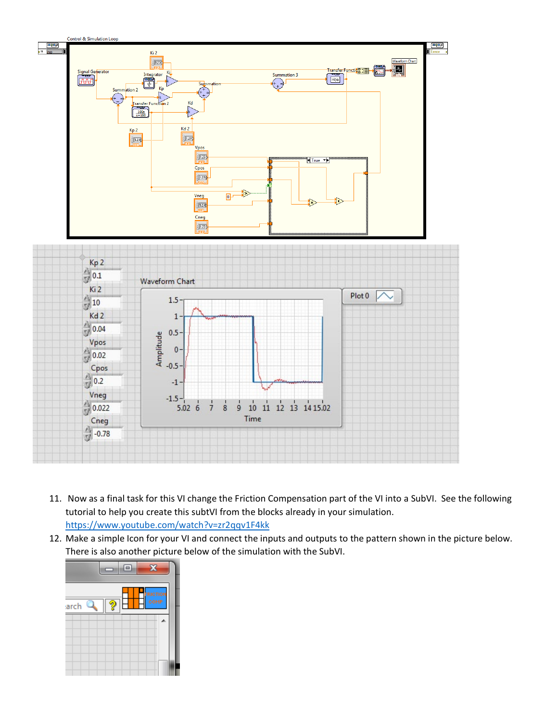

- 11. Now as a final task for this VI change the Friction Compensation part of the VI into a SubVI. See the following tutorial to help you create this subtVI from the blocks already in your simulation. <https://www.youtube.com/watch?v=zr2qqv1F4kk>
- 12. Make a simple Icon for your VI and connect the inputs and outputs to the pattern shown in the picture below. There is also another picture below of the simulation with the SubVI.